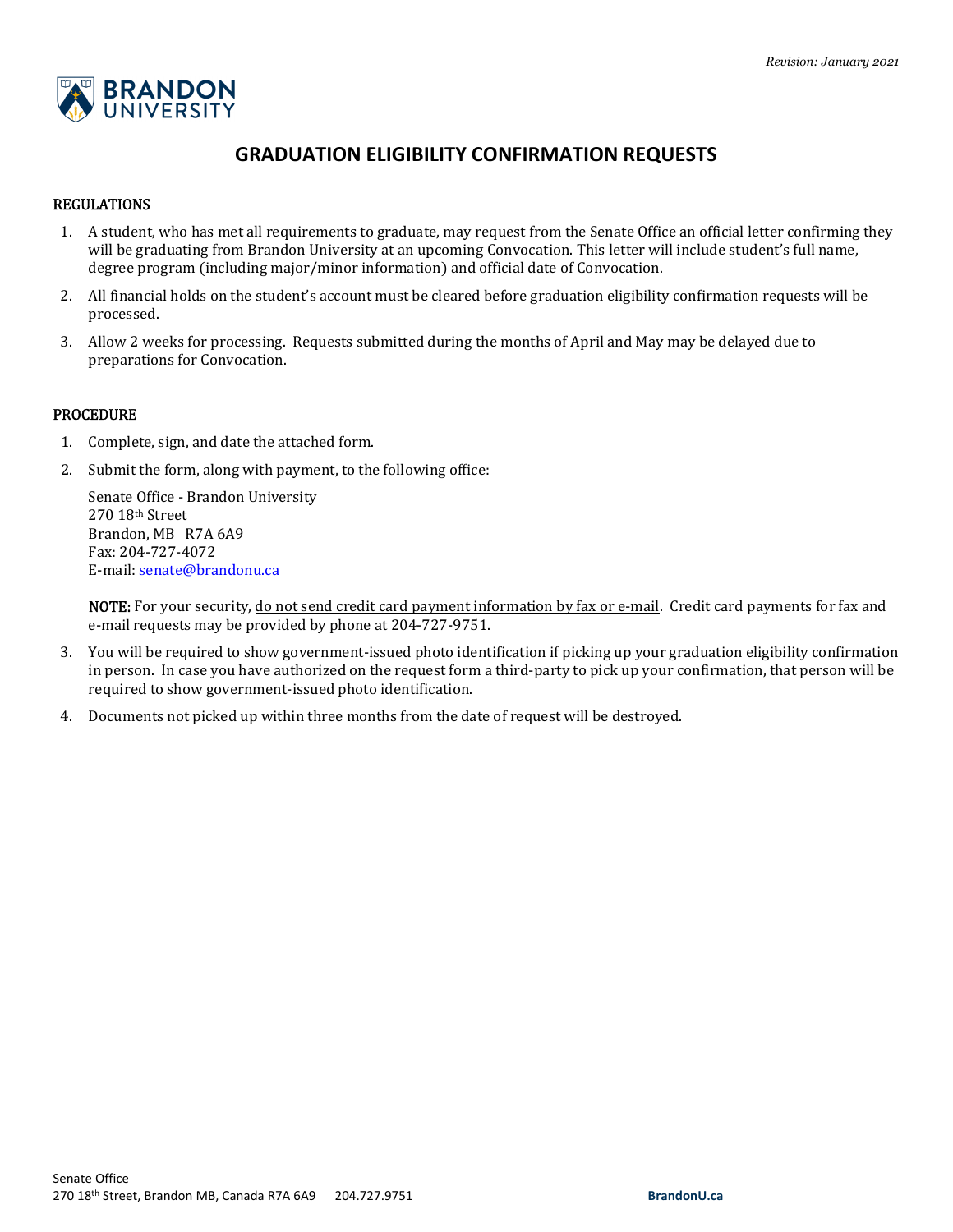

# **GRADUATION ELIGIBILITY CONFIRMATION REQUESTS**

## REGULATIONS

- 1. A student, who has met all requirements to graduate, may request from the Senate Office an official letter confirming they will be graduating from Brandon University at an upcoming Convocation. This letter will include student's full name, degree program (including major/minor information) and official date of Convocation.
- 2. All financial holds on the student's account must be cleared before graduation eligibility confirmation requests will be processed.
- 3. Allow 2 weeks for processing. Requests submitted during the months of April and May may be delayed due to preparations for Convocation.

## PROCEDURE

- 1. Complete, sign, and date the attached form.
- 2. Submit the form, along with payment, to the following office:

Senate Office - Brandon University 270 18th Street Brandon, MB R7A 6A9 Fax: 204-727-4072 E-mail: senate@brandonu.ca

NOTE: For your security, do not send credit card payment information by fax or e-mail. Credit card payments for fax and e-mail requests may be provided by phone at 204-727-9751.

- 3. You will be required to show government-issued photo identification if picking up your graduation eligibility confirmation in person. In case you have authorized on the request form a third-party to pick up your confirmation, that person will be required to show government-issued photo identification.
- 4. Documents not picked up within three months from the date of request will be destroyed.